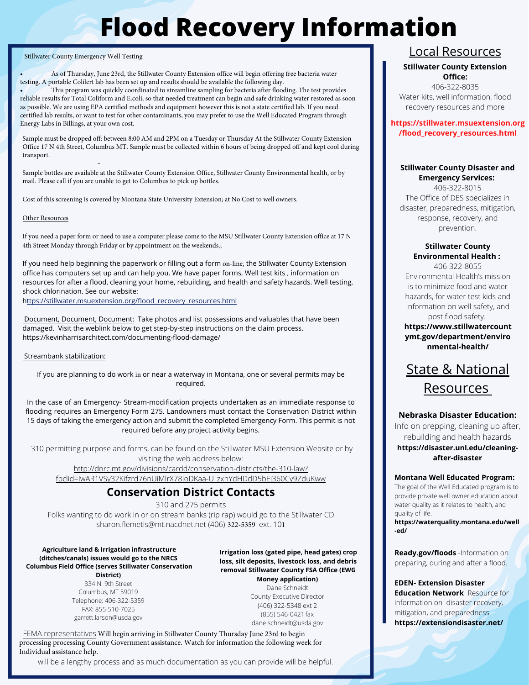# **Flood Recovery Information**

#### Stillwater County Emergency Well Testing

• As of Thursday, June 23rd, the Stillwater County Extension office will begin offering free bacteria water testing. A portable Colilert lab has been set up and results should be available the following day.

• This program was quickly coordinated to streamline sampling for bacteria after flooding. The test provides reliable results for Total Coliform and E.coli, so that needed treatment can begin and safe drinking water restored as soon as possible. We are using EPA certified methods and equipment however this is not a state certified lab. If you need certified lab results, or want to test for other contaminants, you may prefer to use the Well Educated Program through Energy Labs in Billings, at your own cost.

Sample must be dropped off: between 8:00 AM and 2PM on a Tuesday or Thursday At the Stillwater County Extension Office 17 N 4th Street, Columbus MT. Sample must be collected within 6 hours of being dropped off and kept cool during transport.

Sample bottles are available at the Stillwater County Extension Office, Stillwater County Environmental health, or by mail. Please call if you are unable to get to Columbus to pick up bottles.

Cost of this screening is covered by Montana State University Extension; at No Cost to well owners.

#### Other Resources

If you need a paper form or need to use a computer please come to the MSU Stillwater County Extension office at 17 N 4th Street Monday through Friday or by appointment on the weekends.;

If you need help beginning the paperwork or filling out a form on-line, the Stillwater County Extension office has computers set up and can help you. We have paper forms, Well test kits , information on resources for after a flood, cleaning your home, rebuilding, and health and safety hazards. Well testing, shock chlorination. See our website:

https://stillwater.msuextension.org/flood\_recovery\_resources.html

Document, Document, Document: Take photos and list possessions and valuables that have been damaged. Visit the weblink below to get step-by-step instructions on the claim process. <https://kevinharrisarchitect.com/documenting-flood-damage/>

#### Streambank stabilization:

If you are planning to do work in or near a waterway in Montana, one or several permits may be required.

In the case of an Emergency- Stream-modification projects undertaken as an immediate response to flooding requires an Emergency Form 275. Landowners must contact the Conservation District within 15 days of taking the emergency action and submit the completed Emergency Form. This permit is not required before any project activity begins.

310 permitting purpose and forms, can be found on the Stillwater MSU Extension Website or by visiting the web address below: http://dnrc.mt.gov/divisions/cardd/conservation-districts/the-310-law? [fbclid=IwAR1VSy32Kifzrd76nUiMlrX78JoDKaa-U\\_zxhYdHDdD5bEj360Cy9ZduKww](http://dnrc.mt.gov/divisions/cardd/conservation-districts/the-310-law?fbclid=IwAR1VSy32Kifzrd76nUiMlrX78JoDKaa-U_zxhYdHDdD5bEj360Cy9ZduKww)

# **Conservation District Contacts**

310 and 275 permits

Folks wanting to do work in or on stream banks (rip rap) would go to the Stillwater CD. sharon.flemetis@mt.nacdnet.net (406)-322-5359 ext. 101

#### **Agriculture land & Irrigation infrastructure (ditches/canals) issues would go to the NRCS Columbus Field Office (serves Stillwater Conservation District)**

334 N. 9th Street Columbus, MT 59019 Telephone: 406-322-5359 FAX: 855-510-7025 [garrett.larson@usda.gov](mailto:garrett.larson@usda.gov)

**Irrigation loss (gated pipe, head gates) crop loss, silt deposits, livestock loss, and debris removal Stillwater County FSA Office (EWG Money application)**

Dane Schneidt County Executive Director (406) 322-5348 ext 2 (855) 546-0421fax [dane.schneidt@usda.gov](mailto:dane.schneidt@usda.gov)

FEMA representatives Will begin arriving in Stillwater County Thursday June 23rd to begin processing processing County Government assistance. Watch for information the following week for Individual assistance help.

will be a lengthy process and as much documentation as you can provide will be helpful.

# Local Resources

#### **Stillwater County Extension Office:**

406-322-8035 Water kits, well information, flood recovery resources and more

#### **https://stillwater.msuextension.org /flood\_recovery\_resources.html**

#### **Stillwater County Disaster and Emergency Services:**

406-322-8015 The Office of DES specializes in disaster, preparedness, mitigation, response, recovery, and prevention.

#### **Stillwater County Environmental Health :**

406-322-8055 Environmental Health's mission is to minimize food and water hazards, for water test kids and information on well safety, and post flood safety.

**https://www.stillwatercount ymt.gov/department/enviro nmental-health/**



#### **Nebraska Disaster Education:**

Info on prepping, cleaning up after, rebuilding and health hazards **https://disaster.unl.edu/cleaningafter-disaster**

#### **Montana Well Educated Program:**

The goal of the Well Educated program is to provide private well owner education about water quality as it relates to health, and quality of life.

**https://waterquality.montana.edu/well -ed/**

**Ready.gov/floods** -Information on preparing, during and after a flood.

**EDEN- Extension Disaster Education Network** Resource for information on disaster recovery, mitigation, and preparedness **https://extensiondisaster.net/**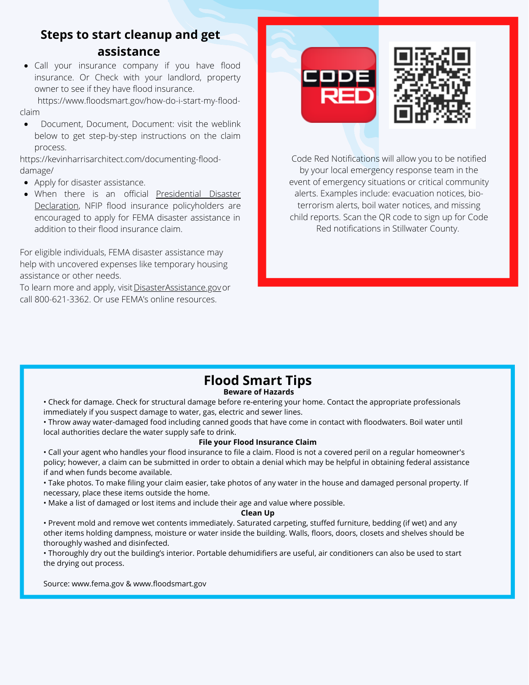# **Steps to start cleanup and get assistance**

Call your insurance company if you have flood insurance. Or Check with your landlord, property owner to see if they have flood insurance.

[https://www.floodsmart.gov/how-do-i-start-my-flood](https://www.floodsmart.gov/how-do-i-start-my-flood-claim)claim

Document, Document, Document: visit the weblink  $\bullet$ below to get step-by-step instructions on the claim process.

[https://kevinharrisarchitect.com/documenting-flood](https://kevinharrisarchitect.com/documenting-flood-damage/)damage/

- Apply for disaster assistance.
- When there is an [official](https://www.fema.gov/disasters) Presidential Disaster [Declaration, NFIP flood insurance policyholders are](https://www.fema.gov/disasters) encouraged to apply for FEMA disaster assistance in addition to their flood insurance claim.

For eligible individuals, FEMA disaster assistance may help with uncovered expenses like temporary housing assistance or other needs.

To learn more and apply, visit [DisasterAssistance.gov](https://www.disasterassistance.gov/) or call 800-621-3362. Or use FEMA's online resources.





Code Red Notifications will allow you to be notified by your local emergency response team in the event of emergency situations or critical community alerts. Examples include: evacuation notices, bioterrorism alerts, boil water notices, and missing child reports. Scan the QR code to sign up for Code Red notifications in Stillwater County.

### **Beware of Hazards Flood Smart Tips**

• Check for damage. Check for structural damage before re-entering your home. Contact the appropriate professionals immediately if you suspect damage to water, gas, electric and sewer lines.

• Throw away water-damaged food including canned goods that have come in contact with floodwaters. Boil water until local authorities declare the water supply safe to drink.

#### **File your Flood Insurance Claim**

• Call your agent who handles your flood insurance to file a claim. Flood is not a covered peril on a regular homeowner's policy; however, a claim can be submitted in order to obtain a denial which may be helpful in obtaining federal assistance if and when funds become available.

• Take photos. To make filing your claim easier, take photos of any water in the house and damaged personal property. If necessary, place these items outside the home.

• Make a list of damaged or lost items and include their age and value where possible.

#### **Clean Up**

• Prevent mold and remove wet contents immediately. Saturated carpeting, stuffed furniture, bedding (if wet) and any other items holding dampness, moisture or water inside the building. Walls, floors, doors, closets and shelves should be thoroughly washed and disinfected.

• Thoroughly dry out the building's interior. Portable dehumidifiers are useful, air conditioners can also be used to start the drying out process.

Source: www.fema.gov & www.floodsmart.gov